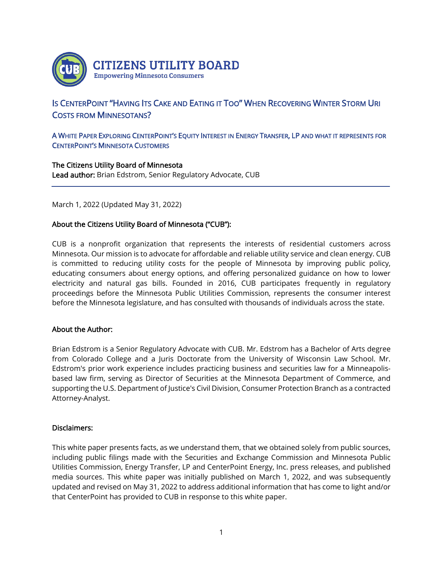

# IS CENTERPOINT "HAVING ITS CAKE AND EATING IT TOO" WHEN RECOVERING WINTER STORM URI COSTS FROM MINNESOTANS?

## A WHITE PAPER EXPLORING CENTERPOINT'S EQUITY INTEREST IN ENERGY TRANSFER, LP AND WHAT IT REPRESENTS FOR CENTERPOINT'S MINNESOTA CUSTOMERS

## The Citizens Utility Board of Minnesota Lead author: Brian Edstrom, Senior Regulatory Advocate, CUB

March 1, 2022 (Updated May 31, 2022)

## About the Citizens Utility Board of Minnesota ("CUB"):

CUB is a nonprofit organization that represents the interests of residential customers across Minnesota. Our mission is to advocate for affordable and reliable utility service and clean energy. CUB is committed to reducing utility costs for the people of Minnesota by improving public policy, educating consumers about energy options, and offering personalized guidance on how to lower electricity and natural gas bills. Founded in 2016, CUB participates frequently in regulatory proceedings before the Minnesota Public Utilities Commission, represents the consumer interest before the Minnesota legislature, and has consulted with thousands of individuals across the state.

#### About the Author:

l,

Brian Edstrom is a Senior Regulatory Advocate with CUB. Mr. Edstrom has a Bachelor of Arts degree from Colorado College and a Juris Doctorate from the University of Wisconsin Law School. Mr. Edstrom's prior work experience includes practicing business and securities law for a Minneapolisbased law firm, serving as Director of Securities at the Minnesota Department of Commerce, and supporting the U.S. Department of Justice's Civil Division, Consumer Protection Branch as a contracted Attorney-Analyst.

#### Disclaimers:

This white paper presents facts, as we understand them, that we obtained solely from public sources, including public filings made with the Securities and Exchange Commission and Minnesota Public Utilities Commission, Energy Transfer, LP and CenterPoint Energy, Inc. press releases, and published media sources. This white paper was initially published on March 1, 2022, and was subsequently updated and revised on May 31, 2022 to address additional information that has come to light and/or that CenterPoint has provided to CUB in response to this white paper.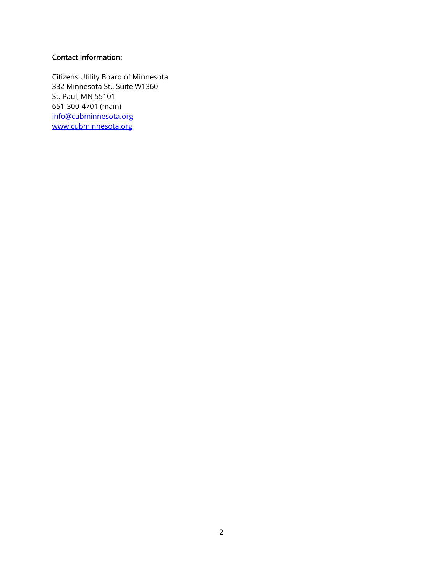# Contact Information:

Citizens Utility Board of Minnesota 332 Minnesota St., Suite W1360 St. Paul, MN 55101 651-300-4701 (main) [info@cubminnesota.org](mailto:info@cubminnesota.org) [www.cubminnesota.org](http://www.cubminnesota.org/)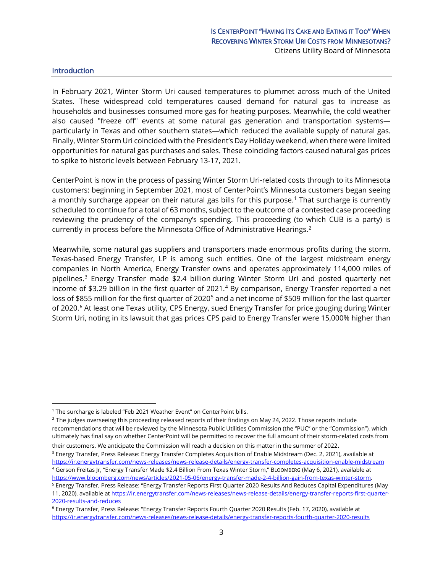#### Introduction

In February 2021, Winter Storm Uri caused temperatures to plummet across much of the United States. These widespread cold temperatures caused demand for natural gas to increase as households and businesses consumed more gas for heating purposes. Meanwhile, the cold weather also caused "freeze off" events at some natural gas generation and transportation systems particularly in Texas and other southern states—which reduced the available supply of natural gas. Finally, Winter Storm Uri coincided with the President's Day Holiday weekend, when there were limited opportunities for natural gas purchases and sales. These coinciding factors caused natural gas prices to spike to historic levels between February 13-17, 2021.

CenterPoint is now in the process of passing Winter Storm Uri-related costs through to its Minnesota customers: beginning in September 2021, most of CenterPoint's Minnesota customers began seeing a monthly surcharge appear on their natural gas bills for this purpose. [1](#page-2-0) That surcharge is currently scheduled to continue for a total of 63 months, subject to the outcome of a contested case proceeding reviewing the prudency of the company's spending. This proceeding (to which CUB is a party) is currently in process before the Minnesota Office of Administrative Hearings.<sup>[2](#page-2-1)</sup>

Meanwhile, some natural gas suppliers and transporters made enormous profits during the storm. Texas-based Energy Transfer, LP is among such entities. One of the largest midstream energy companies in North America, Energy Transfer owns and operates approximately 114,000 miles of pipelines.[3](#page-2-2) Energy Transfer made \$2.4 billion during Winter Storm Uri and posted quarterly net income of \$3.29 billion in the first quarter of 2021.<sup>4</sup> By comparison, Energy Transfer reported a net loss of \$855 million for the first quarter of 2020<sup>5</sup> and a net income of \$509 million for the last quarter of 2020.[6](#page-2-5) At least one Texas utility, CPS Energy, sued Energy Transfer for price gouging during Winter Storm Uri, noting in its lawsuit that gas prices CPS paid to Energy Transfer were 15,000% higher than

<span id="page-2-0"></span><sup>&</sup>lt;sup>1</sup> The surcharge is labeled "Feb 2021 Weather Event" on CenterPoint bills.

<span id="page-2-1"></span> $2$  The judges overseeing this proceeding released reports of their findings on May 24, 2022. Those reports include recommendations that will be reviewed by the Minnesota Public Utilities Commission (the "PUC" or the "Commission"), which ultimately has final say on whether CenterPoint will be permitted to recover the full amount of their storm-related costs from their customers. We anticipate the Commission will reach a decision on this matter in the summer of 2022.

<span id="page-2-2"></span><sup>&</sup>lt;sup>3</sup> Energy Transfer, Press Release: Energy Transfer Completes Acquisition of Enable Midstream (Dec. 2, 2021), available at <https://ir.energytransfer.com/news-releases/news-release-details/energy-transfer-completes-acquisition-enable-midstream> <sup>4</sup> Gerson Freitas Jr, "Energy Transfer Made \$2.4 Billion From Texas Winter Storm," BLOOMBERG (May 6, 2021), available at

<span id="page-2-3"></span>https://www.bloomberg.com/news/articles/2021-05-06/energy-transfer-made-2-4-billion-gain-from-texas-winter-storm.<br><sup>5</sup> Energy Transfer, Press Release: "Energy Transfer Reports First Quarter 2020 Results And Reduces Capital

<span id="page-2-4"></span><sup>11, 2020),</sup> available a[t https://ir.energytransfer.com/news-releases/news-release-details/energy-transfer-reports-first-quarter-](https://ir.energytransfer.com/news-releases/news-release-details/energy-transfer-reports-first-quarter-2020-results-and-reduces)[2020-results-and-reduces](https://ir.energytransfer.com/news-releases/news-release-details/energy-transfer-reports-first-quarter-2020-results-and-reduces)

<span id="page-2-5"></span><sup>6</sup> Energy Transfer, Press Release: "Energy Transfer Reports Fourth Quarter 2020 Results (Feb. 17, 2020), available at <https://ir.energytransfer.com/news-releases/news-release-details/energy-transfer-reports-fourth-quarter-2020-results>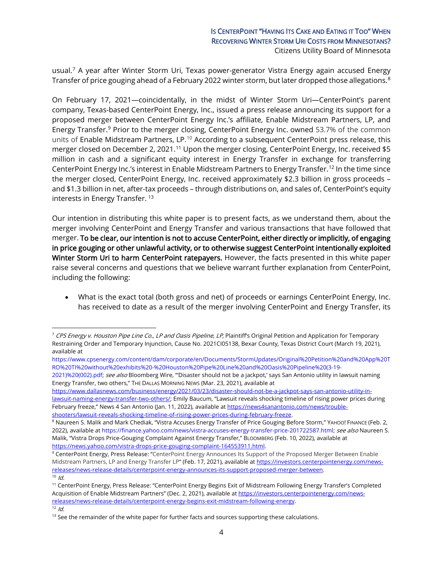## IS CENTERPOINT "HAVING ITS CAKE AND EATING IT TOO" WHEN RECOVERING WINTER STORM URI COSTS FROM MINNESOTANS? Citizens Utility Board of Minnesota

usual. [7](#page-3-0) A year after Winter Storm Uri, Texas power-generator Vistra Energy again accused Energy Transfer of price gouging ahead of a February 2022 winter storm, but later dropped those allegations. [8](#page-3-1)

On February 17, 2021—coincidentally, in the midst of Winter Storm Uri—CenterPoint's parent company, Texas-based CenterPoint Energy, Inc., issued a press release announcing its support for a proposed merger between CenterPoint Energy Inc.'s affiliate, Enable Midstream Partners, LP, and Energy Transfer.<sup>[9](#page-3-2)</sup> Prior to the merger closing, CenterPoint Energy Inc. owned 53.7% of the common units of Enable Midstream Partners, LP.<sup>[10](#page-3-3)</sup> According to a subsequent CenterPoint press release, this merger closed on December 2, 2021.<sup>[11](#page-3-4)</sup> Upon the merger closing, CenterPoint Energy, Inc. received \$5 million in cash and a significant equity interest in Energy Transfer in exchange for transferring CenterPoint Energy Inc.'s interest in Enable Midstream Partners to Energy Transfer. [12](#page-3-5) In the time since the merger closed, CenterPoint Energy, Inc. received approximately \$2.3 billion in gross proceeds – and \$1.3 billion in net, after-tax proceeds – through distributions on, and sales of, CenterPoint's equity interests in Energy Transfer.<sup>[13](#page-3-6)</sup>

Our intention in distributing this white paper is to present facts, as we understand them, about the merger involving CenterPoint and Energy Transfer and various transactions that have followed that merger. To be clear, our intention is not to accuse CenterPoint, either directly or implicitly, of engaging in price gouging or other unlawful activity, or to otherwise suggest CenterPoint intentionally exploited Winter Storm Uri to harm CenterPoint ratepayers. However, the facts presented in this white paper raise several concerns and questions that we believe warrant further explanation from CenterPoint, including the following:

• What is the exact total (both gross and net) of proceeds or earnings CenterPoint Energy, Inc. has received to date as a result of the merger involving CenterPoint and Energy Transfer, its

<span id="page-3-0"></span><sup>&</sup>lt;sup>7</sup> CPS Energy v. Houston Pipe Line Co., LP and Oasis Pipeline, LP, Plaintiff's Original Petition and Application for Temporary Restraining Order and Temporary Injunction, Cause No. 2021CI05138, Bexar County, Texas District Court (March 19, 2021), available at

[https://www.cpsenergy.com/content/dam/corporate/en/Documents/StormUpdates/Original%20Petition%20and%20App%20T](https://www.cpsenergy.com/content/dam/corporate/en/Documents/StormUpdates/Original%20Petition%20and%20App%20TRO%20TI%20without%20exhibits%20-%20Houston%20Pipe%20Line%20and%20Oasis%20Pipeline%20(3-19-2021)%20(002).pdf) [RO%20TI%20without%20exhibits%20-%20Houston%20Pipe%20Line%20and%20Oasis%20Pipeline%20\(3-19-](https://www.cpsenergy.com/content/dam/corporate/en/Documents/StormUpdates/Original%20Petition%20and%20App%20TRO%20TI%20without%20exhibits%20-%20Houston%20Pipe%20Line%20and%20Oasis%20Pipeline%20(3-19-2021)%20(002).pdf)

[<sup>2021\)%20\(002\).</sup>pdf;](https://www.cpsenergy.com/content/dam/corporate/en/Documents/StormUpdates/Original%20Petition%20and%20App%20TRO%20TI%20without%20exhibits%20-%20Houston%20Pipe%20Line%20and%20Oasis%20Pipeline%20(3-19-2021)%20(002).pdf) see also Bloomberg Wire, "'Disaster should not be a jackpot,' says San Antonio utility in lawsuit naming Energy Transfer, two others," THE DALLAS MORNING NEWS (Mar. 23, 2021), available at

[https://www.dallasnews.com/business/energy/2021/03/23/disaster-should-not-be-a-jackpot-says-san-antonio-utility-in](https://www.dallasnews.com/business/energy/2021/03/23/disaster-should-not-be-a-jackpot-says-san-antonio-utility-in-lawsuit-naming-energy-transfer-two-others/)[lawsuit-naming-energy-transfer-two-others/;](https://www.dallasnews.com/business/energy/2021/03/23/disaster-should-not-be-a-jackpot-says-san-antonio-utility-in-lawsuit-naming-energy-transfer-two-others/) Emily Baucum, "Lawsuit reveals shocking timeline of rising power prices during February freeze," News 4 San Antonio (Jan. 11, 2022), available a[t https://news4sanantonio.com/news/trouble](https://news4sanantonio.com/news/trouble-shooters/lawsuit-reveals-shocking-timeline-of-rising-power-prices-during-february-freeze)[shooters/lawsuit-reveals-shocking-timeline-of-rising-power-prices-during-february-freeze.](https://news4sanantonio.com/news/trouble-shooters/lawsuit-reveals-shocking-timeline-of-rising-power-prices-during-february-freeze)

<span id="page-3-1"></span><sup>8</sup> Naureen S. Malik and Mark Chediak, "Vistra Accuses Energy Transfer of Price Gouging Before Storm," YAHOO! FINANCE (Feb. 2, 2022), available at [https://finance.yahoo.com/news/vistra-accuses-energy-transfer-price-201722587.html;](https://finance.yahoo.com/news/vistra-accuses-energy-transfer-price-201722587.html) see also Naureen S. Malik, "Vistra Drops Price-Gouging Complaint Against Energy Transfer," BLOOMBERG (Feb. 10, 2022), available at [https://news.yahoo.com/vistra-drops-price-gouging-complaint-164553911.html.](https://news.yahoo.com/vistra-drops-price-gouging-complaint-164553911.html)

<span id="page-3-2"></span><sup>&</sup>lt;sup>9</sup> CenterPoint Energy, Press Release: "CenterPoint Energy Announces Its Support of the Proposed Merger Between Enable Midstream Partners, LP and Energy Transfer LP" (Feb. 17, 2021), available at [https://investors.centerpointenergy.com/news](https://investors.centerpointenergy.com/news-releases/news-release-details/centerpoint-energy-announces-its-support-proposed-merger-between)[releases/news-release-details/centerpoint-energy-announces-its-support-proposed-merger-between.](https://investors.centerpointenergy.com/news-releases/news-release-details/centerpoint-energy-announces-its-support-proposed-merger-between)  $\overline{10}$  Id.

<span id="page-3-4"></span><span id="page-3-3"></span><sup>&</sup>lt;sup>11</sup> CenterPoint Energy, Press Release: "CenterPoint Energy Begins Exit of Midstream Following Energy Transfer's Completed Acquisition of Enable Midstream Partners" (Dec. 2, 2021), available a[t https://investors.centerpointenergy.com/news](https://investors.centerpointenergy.com/news-releases/news-release-details/centerpoint-energy-begins-exit-midstream-following-energy)[releases/news-release-details/centerpoint-energy-begins-exit-midstream-following-energy.](https://investors.centerpointenergy.com/news-releases/news-release-details/centerpoint-energy-begins-exit-midstream-following-energy)

<span id="page-3-5"></span> $12$  *Id.* 

<span id="page-3-6"></span><sup>&</sup>lt;sup>13</sup> See the remainder of the white paper for further facts and sources supporting these calculations.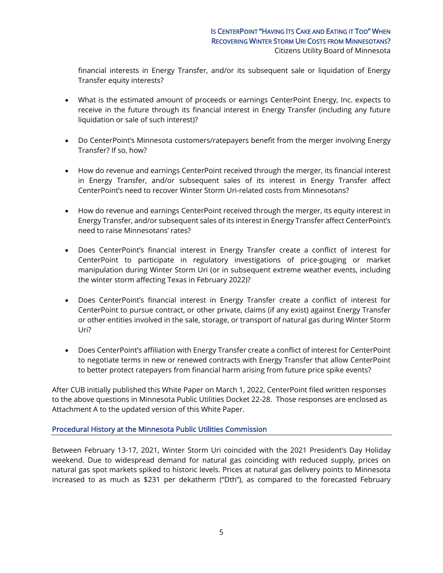financial interests in Energy Transfer, and/or its subsequent sale or liquidation of Energy Transfer equity interests?

- What is the estimated amount of proceeds or earnings CenterPoint Energy, Inc. expects to receive in the future through its financial interest in Energy Transfer (including any future liquidation or sale of such interest)?
- Do CenterPoint's Minnesota customers/ratepayers benefit from the merger involving Energy Transfer? If so, how?
- How do revenue and earnings CenterPoint received through the merger, its financial interest in Energy Transfer, and/or subsequent sales of its interest in Energy Transfer affect CenterPoint's need to recover Winter Storm Uri-related costs from Minnesotans?
- How do revenue and earnings CenterPoint received through the merger, its equity interest in Energy Transfer, and/or subsequent sales of its interest in Energy Transfer affect CenterPoint's need to raise Minnesotans' rates?
- Does CenterPoint's financial interest in Energy Transfer create a conflict of interest for CenterPoint to participate in regulatory investigations of price-gouging or market manipulation during Winter Storm Uri (or in subsequent extreme weather events, including the winter storm affecting Texas in February 2022)?
- Does CenterPoint's financial interest in Energy Transfer create a conflict of interest for CenterPoint to pursue contract, or other private, claims (if any exist) against Energy Transfer or other entities involved in the sale, storage, or transport of natural gas during Winter Storm Uri?
- Does CenterPoint's affiliation with Energy Transfer create a conflict of interest for CenterPoint to negotiate terms in new or renewed contracts with Energy Transfer that allow CenterPoint to better protect ratepayers from financial harm arising from future price spike events?

After CUB initially published this White Paper on March 1, 2022, CenterPoint filed written responses to the above questions in Minnesota Public Utilities Docket 22-28. Those responses are enclosed as Attachment A to the updated version of this White Paper.

#### Procedural History at the Minnesota Public Utilities Commission

Between February 13-17, 2021, Winter Storm Uri coincided with the 2021 President's Day Holiday weekend. Due to widespread demand for natural gas coinciding with reduced supply, prices on natural gas spot markets spiked to historic levels. Prices at natural gas delivery points to Minnesota increased to as much as \$231 per dekatherm ("Dth"), as compared to the forecasted February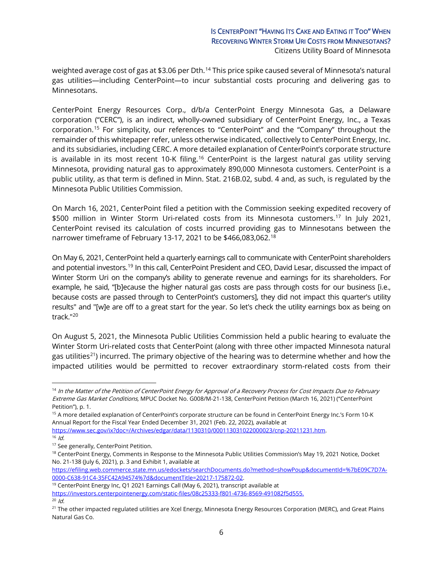weighted average cost of gas at \$3.06 per Dth.<sup>[14](#page-5-0)</sup> This price spike caused several of Minnesota's natural gas utilities—including CenterPoint—to incur substantial costs procuring and delivering gas to Minnesotans.

CenterPoint Energy Resources Corp., d/b/a CenterPoint Energy Minnesota Gas, a Delaware corporation ("CERC"), is an indirect, wholly-owned subsidiary of CenterPoint Energy, Inc., a Texas corporation. [15](#page-5-1) For simplicity, our references to "CenterPoint" and the "Company" throughout the remainder of this whitepaper refer, unless otherwise indicated, collectively to CenterPoint Energy, Inc. and its subsidiaries, including CERC. A more detailed explanation of CenterPoint's corporate structure is available in its most recent 10-K filing.<sup>16</sup> CenterPoint is the largest natural gas utility serving Minnesota, providing natural gas to approximately 890,000 Minnesota customers. CenterPoint is a public utility, as that term is defined in Minn. Stat. 216B.02, subd. 4 and, as such, is regulated by the Minnesota Public Utilities Commission.

On March 16, 2021, CenterPoint filed a petition with the Commission seeking expedited recovery of \$500 million in Winter Storm Uri-related costs from its Minnesota customers.[17](#page-5-3) In July 2021, CenterPoint revised its calculation of costs incurred providing gas to Minnesotans between the narrower timeframe of February 13-17, 2021 to be \$466,083,062. [18](#page-5-4)

On May 6, 2021, CenterPoint held a quarterly earnings call to communicate with CenterPoint shareholders and potential investors.[19](#page-5-5) In this call, CenterPoint President and CEO, David Lesar, discussed the impact of Winter Storm Uri on the company's ability to generate revenue and earnings for its shareholders. For example, he said, "[b]ecause the higher natural gas costs are pass through costs for our business [i.e., because costs are passed through to CenterPoint's customers], they did not impact this quarter's utility results" and "[w]e are off to a great start for the year. So let's check the utility earnings box as being on track."[20](#page-5-6)

On August 5, 2021, the Minnesota Public Utilities Commission held a public hearing to evaluate the Winter Storm Uri-related costs that CenterPoint (along with three other impacted Minnesota natural gas utilities<sup>[21](#page-5-7)</sup>) incurred. The primary objective of the hearing was to determine whether and how the impacted utilities would be permitted to recover extraordinary storm-related costs from their

[https://efiling.web.commerce.state.mn.us/edockets/searchDocuments.do?method=showPoup&documentId=%7bE09C7D7A-](https://efiling.web.commerce.state.mn.us/edockets/searchDocuments.do?method=showPoup&documentId=%7bE09C7D7A-0000-C638-91C4-35FC42A94574%7d&documentTitle=20217-175872-02)[0000-C638-91C4-35FC42A94574%7d&documentTitle=20217-175872-02.](https://efiling.web.commerce.state.mn.us/edockets/searchDocuments.do?method=showPoup&documentId=%7bE09C7D7A-0000-C638-91C4-35FC42A94574%7d&documentTitle=20217-175872-02)

<span id="page-5-5"></span><sup>19</sup> CenterPoint Energy Inc, Q1 2021 Earnings Call (May 6, 2021), transcript available at

<span id="page-5-0"></span><sup>&</sup>lt;sup>14</sup> In the Matter of the Petition of CenterPoint Energy for Approval of a Recovery Process for Cost Impacts Due to February Extreme Gas Market Conditions, MPUC Docket No. G008/M-21-138, CenterPoint Petition (March 16, 2021) ("CenterPoint Petition"), p. 1.

<span id="page-5-1"></span><sup>&</sup>lt;sup>15</sup> A more detailed explanation of CenterPoint's corporate structure can be found in CenterPoint Energy Inc.'s Form 10-K Annual Report for the Fiscal Year Ended December 31, 2021 (Feb. 22, 2022), available at

<span id="page-5-2"></span>[https://www.sec.gov/ix?doc=/Archives/edgar/data/1130310/000113031022000023/cnp-20211231.htm.](https://www.sec.gov/ix?doc=/Archives/edgar/data/1130310/000113031022000023/cnp-20211231.htm)  $16$  Id.

<span id="page-5-3"></span><sup>&</sup>lt;sup>17</sup> See generally, CenterPoint Petition.

<span id="page-5-4"></span><sup>&</sup>lt;sup>18</sup> CenterPoint Energy, Comments in Response to the Minnesota Public Utilities Commission's May 19, 2021 Notice, Docket No. 21-138 (July 6, 2021), p. 3 and Exhibit 1, available at

[https://investors.centerpointenergy.com/static-files/08c25333-f801-4736-8569-491082f5d555.](https://investors.centerpointenergy.com/static-files/08c25333-f801-4736-8569-491082f5d555)  $20$  Id.

<span id="page-5-7"></span><span id="page-5-6"></span><sup>&</sup>lt;sup>21</sup> The other impacted regulated utilities are Xcel Energy, Minnesota Energy Resources Corporation (MERC), and Great Plains Natural Gas Co.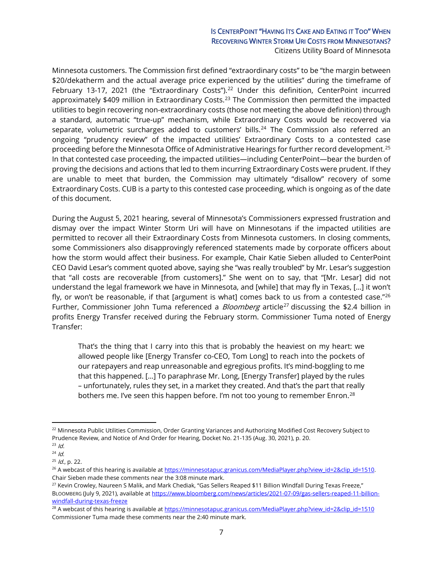# IS CENTERPOINT "HAVING ITS CAKE AND EATING IT TOO" WHEN RECOVERING WINTER STORM URI COSTS FROM MINNESOTANS?

Citizens Utility Board of Minnesota

Minnesota customers. The Commission first defined "extraordinary costs" to be "the margin between \$20/dekatherm and the actual average price experienced by the utilities" during the timeframe of February 13-17, 2021 (the "Extraordinary Costs").<sup>[22](#page-6-0)</sup> Under this definition, CenterPoint incurred approximately \$409 million in Extraordinary Costs.<sup>[23](#page-6-1)</sup> The Commission then permitted the impacted utilities to begin recovering non-extraordinary costs (those not meeting the above definition) through a standard, automatic "true-up" mechanism, while Extraordinary Costs would be recovered via separate, volumetric surcharges added to customers' bills.<sup>[24](#page-6-2)</sup> The Commission also referred an ongoing "prudency review" of the impacted utilities' Extraordinary Costs to a contested case proceeding before the Minnesota Office of Administrative Hearings for further record development.[25](#page-6-3) In that contested case proceeding, the impacted utilities—including CenterPoint—bear the burden of proving the decisions and actions that led to them incurring Extraordinary Costs were prudent. If they are unable to meet that burden, the Commission may ultimately "disallow" recovery of some Extraordinary Costs. CUB is a party to this contested case proceeding, which is ongoing as of the date of this document.

During the August 5, 2021 hearing, several of Minnesota's Commissioners expressed frustration and dismay over the impact Winter Storm Uri will have on Minnesotans if the impacted utilities are permitted to recover all their Extraordinary Costs from Minnesota customers. In closing comments, some Commissioners also disapprovingly referenced statements made by corporate officers about how the storm would affect their business. For example, Chair Katie Sieben alluded to CenterPoint CEO David Lesar's comment quoted above, saying she "was really troubled" by Mr. Lesar's suggestion that "all costs are recoverable [from customers]." She went on to say, that "[Mr. Lesar] did not understand the legal framework we have in Minnesota, and [while] that may fly in Texas, […] it won't fly, or won't be reasonable, if that [argument is what] comes back to us from a contested case." $^{26}$  $^{26}$  $^{26}$ Further, Commissioner John Tuma referenced a *Bloomberg* article<sup>[27](#page-6-5)</sup> discussing the \$2.4 billion in profits Energy Transfer received during the February storm. Commissioner Tuma noted of Energy Transfer:

That's the thing that I carry into this that is probably the heaviest on my heart: we allowed people like [Energy Transfer co-CEO, Tom Long] to reach into the pockets of our ratepayers and reap unreasonable and egregious profits. It's mind-boggling to me that this happened. […] To paraphrase Mr. Long, [Energy Transfer] played by the rules – unfortunately, rules they set, in a market they created. And that's the part that really bothers me. I've seen this happen before. I'm not too young to remember Enron.<sup>[28](#page-6-6)</sup>

<span id="page-6-0"></span><sup>&</sup>lt;sup>22</sup> Minnesota Public Utilities Commission, Order Granting Variances and Authorizing Modified Cost Recovery Subject to Prudence Review, and Notice of And Order for Hearing, Docket No. 21-135 (Aug. 30, 2021), p. 20.

<span id="page-6-1"></span> $23$  *Id.* 

<span id="page-6-2"></span> $24$  *Id.* 

<span id="page-6-3"></span> $25$  *Id.*, p. 22.

<span id="page-6-4"></span> $^{26}$  A webcast of this hearing is available a[t https://minnesotapuc.granicus.com/MediaPlayer.php?view\\_id=2&clip\\_id=1510.](https://minnesotapuc.granicus.com/MediaPlayer.php?view_id=2&clip_id=1510) Chair Sieben made these comments near the 3:08 minute mark.

<span id="page-6-5"></span><sup>&</sup>lt;sup>27</sup> Kevin Crowley, Naureen S Malik, and Mark Chediak, "Gas Sellers Reaped \$11 Billion Windfall During Texas Freeze," BLOOMBERG (July 9, 2021), available at [https://www.bloomberg.com/news/articles/2021-07-09/gas-sellers-reaped-11-billion](https://www.bloomberg.com/news/articles/2021-07-09/gas-sellers-reaped-11-billion-windfall-during-texas-freeze)[windfall-during-texas-freeze](https://www.bloomberg.com/news/articles/2021-07-09/gas-sellers-reaped-11-billion-windfall-during-texas-freeze)

<span id="page-6-6"></span><sup>&</sup>lt;sup>28</sup> A webcast of this hearing is available a[t https://minnesotapuc.granicus.com/MediaPlayer.php?view\\_id=2&clip\\_id=1510](https://minnesotapuc.granicus.com/MediaPlayer.php?view_id=2&clip_id=1510) Commissioner Tuma made these comments near the 2:40 minute mark.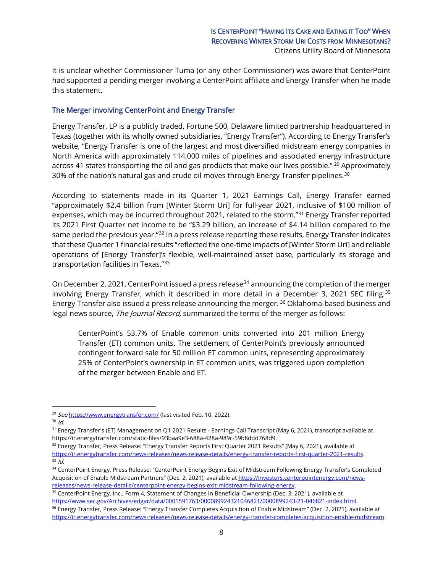It is unclear whether Commissioner Tuma (or any other Commissioner) was aware that CenterPoint had supported a pending merger involving a CenterPoint affiliate and Energy Transfer when he made this statement.

## The Merger involving CenterPoint and Energy Transfer

Energy Transfer, LP is a publicly traded, Fortune 500, Delaware limited partnership headquartered in Texas (together with its wholly owned subsidiaries, "Energy Transfer"). According to Energy Transfer's website, "Energy Transfer is one of the largest and most diversified midstream energy companies in North America with approximately 114,000 miles of pipelines and associated energy infrastructure across 41 states transporting the oil and gas products that make our lives possible." <sup>[29](#page-7-0)</sup> Approximately [30](#page-7-1)% of the nation's natural gas and crude oil moves through Energy Transfer pipelines. $30$ 

According to statements made in its Quarter 1, 2021 Earnings Call, Energy Transfer earned "approximately \$2.4 billion from [Winter Storm Uri] for full-year 2021, inclusive of \$100 million of expenses, which may be incurred throughout 2021, related to the storm."[31](#page-7-2) Energy Transfer reported its 2021 First Quarter net income to be "\$3.29 billion, an increase of \$4.14 billion compared to the same period the previous year."<sup>[32](#page-7-3)</sup> In a press release reporting these results, Energy Transfer indicates that these Quarter 1 financial results "reflected the one-time impacts of [Winter Storm Uri] and reliable operations of [Energy Transfer]'s flexible, well-maintained asset base, particularly its storage and transportation facilities in Texas."[33](#page-7-4)

On December 2, 2021, CenterPoint issued a press release<sup>[34](#page-7-5)</sup> announcing the completion of the merger involving Energy Transfer, which it described in more detail in a December 3, 2021 SEC filing.[35](#page-7-6) Energy Transfer also issued a press release announcing the merger.  $36$  Oklahoma-based business and legal news source, The Journal Record, summarized the terms of the merger as follows:

CenterPoint's 53.7% of Enable common units converted into 201 million Energy Transfer (ET) common units. The settlement of CenterPoint's previously announced contingent forward sale for 50 million ET common units, representing approximately 25% of CenterPoint's ownership in ET common units, was triggered upon completion of the merger between Enable and ET.

<span id="page-7-6"></span><sup>35</sup> CenterPoint Energy, Inc., Form 4, Statement of Changes in Beneficial Ownership (Dec. 3, 2021), available at [https://www.sec.gov/Archives/edgar/data/0001591763/000089924321046821/0000899243-21-046821-index.html.](https://www.sec.gov/Archives/edgar/data/0001591763/000089924321046821/0000899243-21-046821-index.html)

<span id="page-7-0"></span><sup>&</sup>lt;sup>29</sup> See <https://www.energytransfer.com/> (last visited Feb. 10, 2022).

<span id="page-7-1"></span> $30$  *Id.* 

<span id="page-7-2"></span><sup>&</sup>lt;sup>31</sup> Energy Transfer's (ET) Management on Q1 2021 Results - Earnings Call Transcript (May 6, 2021), transcript available at https://ir.energytransfer.com/static-files/93baa9e3-688a-428a-989c-59b8ddd768d9.

<span id="page-7-3"></span><sup>32</sup> Energy Transfer, Press Release: "Energy Transfer Reports First Quarter 2021 Results" (May 6, 2021), available at [https://ir.energytransfer.com/news-releases/news-release-details/energy-transfer-reports-first-quarter-2021-results.](https://ir.energytransfer.com/news-releases/news-release-details/energy-transfer-reports-first-quarter-2021-results)  $33$   $\overline{1}$ d.

<span id="page-7-5"></span><span id="page-7-4"></span><sup>34</sup> CenterPoint Energy, Press Release: "CenterPoint Energy Begins Exit of Midstream Following Energy Transfer's Completed Acquisition of Enable Midstream Partners" (Dec. 2, 2021), available a[t https://investors.centerpointenergy.com/news](https://investors.centerpointenergy.com/news-releases/news-release-details/centerpoint-energy-begins-exit-midstream-following-energy)[releases/news-release-details/centerpoint-energy-begins-exit-midstream-following-energy.](https://investors.centerpointenergy.com/news-releases/news-release-details/centerpoint-energy-begins-exit-midstream-following-energy)

<span id="page-7-7"></span><sup>&</sup>lt;sup>36</sup> Energy Transfer, Press Release: "Energy Transfer Completes Acquisition of Enable Midstream" (Dec. 2, 2021), available at [https://ir.energytransfer.com/news-releases/news-release-details/energy-transfer-completes-acquisition-enable-midstream.](https://ir.energytransfer.com/news-releases/news-release-details/energy-transfer-completes-acquisition-enable-midstream)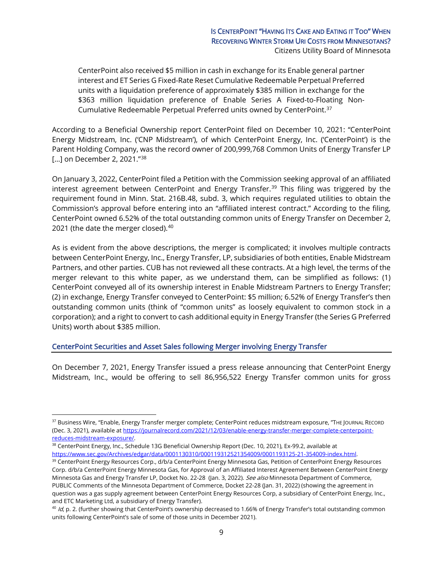CenterPoint also received \$5 million in cash in exchange for its Enable general partner interest and ET Series G Fixed-Rate Reset Cumulative Redeemable Perpetual Preferred units with a liquidation preference of approximately \$385 million in exchange for the \$363 million liquidation preference of Enable Series A Fixed-to-Floating Non-Cumulative Redeemable Perpetual Preferred units owned by CenterPoint.[37](#page-8-0)

According to a Beneficial Ownership report CenterPoint filed on December 10, 2021: "CenterPoint Energy Midstream, Inc. ('CNP Midstream'), of which CenterPoint Energy, Inc. ('CenterPoint') is the Parent Holding Company, was the record owner of 200,999,768 Common Units of Energy Transfer LP [...] on December 2, 2021."<sup>[38](#page-8-1)</sup>

On January 3, 2022, CenterPoint filed a Petition with the Commission seeking approval of an affiliated interest agreement between CenterPoint and Energy Transfer.<sup>[39](#page-8-2)</sup> This filing was triggered by the requirement found in Minn. Stat. 216B.48, subd. 3, which requires regulated utilities to obtain the Commission's approval before entering into an "affiliated interest contract." According to the filing, CenterPoint owned 6.52% of the total outstanding common units of Energy Transfer on December 2, 2021 (the date the merger closed).<sup>[40](#page-8-3)</sup>

As is evident from the above descriptions, the merger is complicated; it involves multiple contracts between CenterPoint Energy, Inc., Energy Transfer, LP, subsidiaries of both entities, Enable Midstream Partners, and other parties. CUB has not reviewed all these contracts. At a high level, the terms of the merger relevant to this white paper, as we understand them, can be simplified as follows: (1) CenterPoint conveyed all of its ownership interest in Enable Midstream Partners to Energy Transfer; (2) in exchange, Energy Transfer conveyed to CenterPoint: \$5 million; 6.52% of Energy Transfer's then outstanding common units (think of "common units" as loosely equivalent to common stock in a corporation); and a right to convert to cash additional equity in Energy Transfer (the Series G Preferred Units) worth about \$385 million.

#### CenterPoint Securities and Asset Sales following Merger involving Energy Transfer

On December 7, 2021, Energy Transfer issued a press release announcing that CenterPoint Energy Midstream, Inc., would be offering to sell 86,956,522 Energy Transfer common units for gross

<span id="page-8-0"></span><sup>&</sup>lt;sup>37</sup> Business Wire, "Enable, Energy Transfer merger complete; CenterPoint reduces midstream exposure, "THE JOURNAL RECORD (Dec. 3, 2021), available a[t https://journalrecord.com/2021/12/03/enable-energy-transfer-merger-complete-centerpoint](https://journalrecord.com/2021/12/03/enable-energy-transfer-merger-complete-centerpoint-reduces-midstream-exposure/)[reduces-midstream-exposure/.](https://journalrecord.com/2021/12/03/enable-energy-transfer-merger-complete-centerpoint-reduces-midstream-exposure/)

<span id="page-8-1"></span><sup>&</sup>lt;sup>38</sup> CenterPoint Energy, Inc., Schedule 13G Beneficial Ownership Report (Dec. 10, 2021), Ex-99.2, available at [https://www.sec.gov/Archives/edgar/data/0001130310/000119312521354009/0001193125-21-354009-index.html.](https://www.sec.gov/Archives/edgar/data/0001130310/000119312521354009/0001193125-21-354009-index.html)

<span id="page-8-2"></span><sup>&</sup>lt;sup>39</sup> CenterPoint Energy Resources Corp., d/b/a CenterPoint Energy Minnesota Gas, Petition of CenterPoint Energy Resources Corp. d/b/a CenterPoint Energy Minnesota Gas, for Approval of an Affiliated Interest Agreement Between CenterPoint Energy Minnesota Gas and Energy Transfer LP, Docket No. 22-28 (Jan. 3, 2022). See also Minnesota Department of Commerce, PUBLIC Comments of the Minnesota Department of Commerce, Docket 22-28 (Jan. 31, 2022) (showing the agreement in question was a gas supply agreement between CenterPoint Energy Resources Corp, a subsidiary of CenterPoint Energy, Inc., and ETC Marketing Ltd, a subsidiary of Energy Transfer).

<span id="page-8-3"></span> $40$  Id, p. 2. (further showing that CenterPoint's ownership decreased to 1.66% of Energy Transfer's total outstanding common units following CenterPoint's sale of some of those units in December 2021).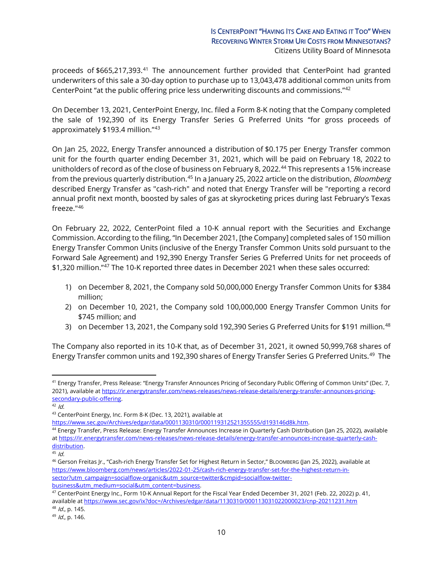proceeds of \$665,217,393.<sup>[41](#page-9-0)</sup> The announcement further provided that CenterPoint had granted underwriters of this sale a 30-day option to purchase up to 13,043,478 additional common units from CenterPoint "at the public offering price less underwriting discounts and commissions."[42](#page-9-1)

On December 13, 2021, CenterPoint Energy, Inc. filed a Form 8-K noting that the Company completed the sale of 192,390 of its Energy Transfer Series G Preferred Units "for gross proceeds of approximately \$193.4 million."[43](#page-9-2)

On Jan 25, 2022, Energy Transfer announced a distribution of \$0.175 per Energy Transfer common unit for the fourth quarter ending December 31, 2021, which will be paid on February 18, 2022 to unitholders of record as of the close of business on February 8, 2022.<sup>[44](#page-9-3)</sup> This represents a 15% increase from the previous quarterly distribution.<sup>[45](#page-9-4)</sup> In a January 25, 2022 article on the distribution, *Bloomberg* described Energy Transfer as "cash-rich" and noted that Energy Transfer will be "reporting a record annual profit next month, boosted by sales of gas at skyrocketing prices during last February's Texas freeze."[46](#page-9-5)

On February 22, 2022, CenterPoint filed a 10-K annual report with the Securities and Exchange Commission. According to the filing, "In December 2021, [the Company] completed sales of 150 million Energy Transfer Common Units (inclusive of the Energy Transfer Common Units sold pursuant to the Forward Sale Agreement) and 192,390 Energy Transfer Series G Preferred Units for net proceeds of \$1,320 million."[47](#page-9-6) The 10-K reported three dates in December 2021 when these sales occurred:

- 1) on December 8, 2021, the Company sold 50,000,000 Energy Transfer Common Units for \$384 million;
- 2) on December 10, 2021, the Company sold 100,000,000 Energy Transfer Common Units for \$745 million; and
- 3) on December 13, 2021, the Company sold 192,390 Series G Preferred Units for \$191 million.<sup>[48](#page-9-7)</sup>

The Company also reported in its 10-K that, as of December 31, 2021, it owned 50,999,768 shares of Energy Transfer common units and 192,390 shares of Energy Transfer Series G Preferred Units.<sup>[49](#page-9-8)</sup> The

<span id="page-9-2"></span><sup>43</sup> CenterPoint Energy, Inc. Form 8-K (Dec. 13, 2021), available at https://www.sec.gov/Archives/edgar/data/0001130310/000119312521355555/d193146d8k.htm.

<span id="page-9-0"></span><sup>41</sup> Energy Transfer, Press Release: "Energy Transfer Announces Pricing of Secondary Public Offering of Common Units" (Dec. 7, 2021), available at [https://ir.energytransfer.com/news-releases/news-release-details/energy-transfer-announces-pricing](https://ir.energytransfer.com/news-releases/news-release-details/energy-transfer-announces-pricing-secondary-public-offering)[secondary-public-offering.](https://ir.energytransfer.com/news-releases/news-release-details/energy-transfer-announces-pricing-secondary-public-offering)

<span id="page-9-1"></span> $42$  *Id.* 

<span id="page-9-3"></span><sup>&</sup>lt;sup>44</sup> Energy Transfer, Press Release: Energy Transfer Announces Increase in Quarterly Cash Distribution (Jan 25, 2022), available a[t https://ir.energytransfer.com/news-releases/news-release-details/energy-transfer-announces-increase-quarterly-cash](https://ir.energytransfer.com/news-releases/news-release-details/energy-transfer-announces-increase-quarterly-cash-distribution)[distribution.](https://ir.energytransfer.com/news-releases/news-release-details/energy-transfer-announces-increase-quarterly-cash-distribution)

<span id="page-9-4"></span> $45$  Id.

<span id="page-9-5"></span><sup>46</sup> Gerson Freitas Jr., "Cash-rich Energy Transfer Set for Highest Return in Sector," BLOOMBERG (Jan 25, 2022), available at [https://www.bloomberg.com/news/articles/2022-01-25/cash-rich-energy-transfer-set-for-the-highest-return-in](https://www.bloomberg.com/news/articles/2022-01-25/cash-rich-energy-transfer-set-for-the-highest-return-in-sector?utm_campaign=socialflow-organic&utm_source=twitter&cmpid=socialflow-twitter-business&utm_medium=social&utm_content=business)[sector?utm\\_campaign=socialflow-organic&utm\\_source=twitter&cmpid=socialflow-twitter](https://www.bloomberg.com/news/articles/2022-01-25/cash-rich-energy-transfer-set-for-the-highest-return-in-sector?utm_campaign=socialflow-organic&utm_source=twitter&cmpid=socialflow-twitter-business&utm_medium=social&utm_content=business)[business&utm\\_medium=social&utm\\_content=business.](https://www.bloomberg.com/news/articles/2022-01-25/cash-rich-energy-transfer-set-for-the-highest-return-in-sector?utm_campaign=socialflow-organic&utm_source=twitter&cmpid=socialflow-twitter-business&utm_medium=social&utm_content=business)

<span id="page-9-6"></span><sup>47</sup> CenterPoint Energy Inc., Form 10-K Annual Report for the Fiscal Year Ended December 31, 2021 (Feb. 22, 2022) p. 41, available at <https://www.sec.gov/ix?doc=/Archives/edgar/data/1130310/000113031022000023/cnp-20211231.htm>48 Id., p. 145.

<span id="page-9-8"></span><span id="page-9-7"></span> $49$  *Id.*, p. 146.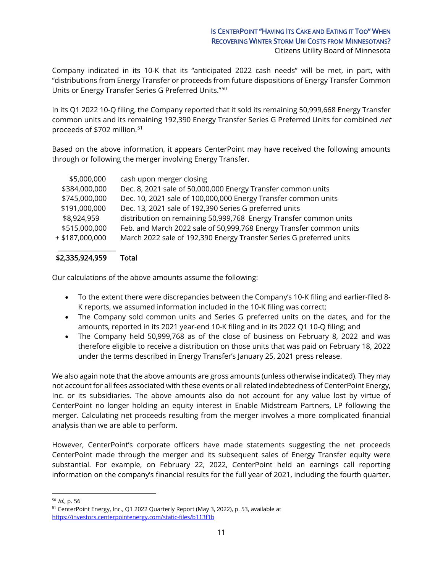Company indicated in its 10-K that its "anticipated 2022 cash needs" will be met, in part, with "distributions from Energy Transfer or proceeds from future dispositions of Energy Transfer Common Units or Energy Transfer Series G Preferred Units.["50](#page-10-0)

In its Q1 2022 10-Q filing, the Company reported that it sold its remaining 50,999,668 Energy Transfer common units and its remaining 192,390 Energy Transfer Series G Preferred Units for combined net proceeds of \$702 million.<sup>[51](#page-10-1)</sup>

Based on the above information, it appears CenterPoint may have received the following amounts through or following the merger involving Energy Transfer.

| \$5,000,000       | cash upon merger closing                                            |
|-------------------|---------------------------------------------------------------------|
| \$384,000,000     | Dec. 8, 2021 sale of 50,000,000 Energy Transfer common units        |
| \$745,000,000     | Dec. 10, 2021 sale of 100,000,000 Energy Transfer common units      |
| \$191,000,000     | Dec. 13, 2021 sale of 192,390 Series G preferred units              |
| \$8,924,959       | distribution on remaining 50,999,768 Energy Transfer common units   |
| \$515,000,000     | Feb. and March 2022 sale of 50,999,768 Energy Transfer common units |
| $+$ \$187,000,000 | March 2022 sale of 192,390 Energy Transfer Series G preferred units |
|                   |                                                                     |

## \$2,335,924,959 Total

Our calculations of the above amounts assume the following:

- To the extent there were discrepancies between the Company's 10-K filing and earlier-filed 8- K reports, we assumed information included in the 10-K filing was correct;
- The Company sold common units and Series G preferred units on the dates, and for the amounts, reported in its 2021 year-end 10-K filing and in its 2022 Q1 10-Q filing; and
- The Company held 50,999,768 as of the close of business on February 8, 2022 and was therefore eligible to receive a distribution on those units that was paid on February 18, 2022 under the terms described in Energy Transfer's January 25, 2021 press release.

We also again note that the above amounts are gross amounts (unless otherwise indicated). They may not account for all fees associated with these events or all related indebtedness of CenterPoint Energy, Inc. or its subsidiaries. The above amounts also do not account for any value lost by virtue of CenterPoint no longer holding an equity interest in Enable Midstream Partners, LP following the merger. Calculating net proceeds resulting from the merger involves a more complicated financial analysis than we are able to perform.

However, CenterPoint's corporate officers have made statements suggesting the net proceeds CenterPoint made through the merger and its subsequent sales of Energy Transfer equity were substantial. For example, on February 22, 2022, CenterPoint held an earnings call reporting information on the company's financial results for the full year of 2021, including the fourth quarter.

<span id="page-10-0"></span> $10^{50}$  *Id.*, p. 56

<span id="page-10-1"></span><sup>51</sup> CenterPoint Energy, Inc., Q1 2022 Quarterly Report (May 3, 2022), p. 53, available at <https://investors.centerpointenergy.com/static-files/b113f1b>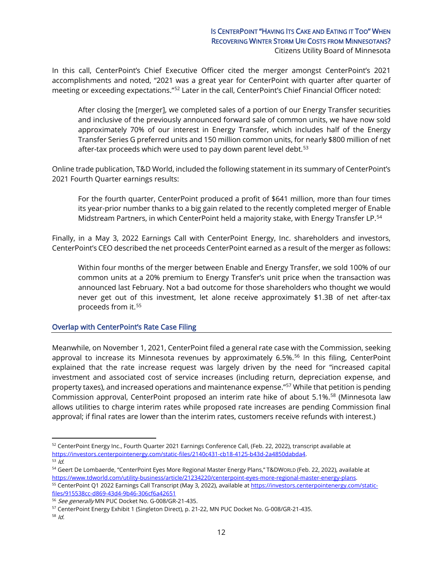In this call, CenterPoint's Chief Executive Officer cited the merger amongst CenterPoint's 2021 accomplishments and noted, "2021 was a great year for CenterPoint with quarter after quarter of meeting or exceeding expectations."[52](#page-11-0) Later in the call, CenterPoint's Chief Financial Officer noted:

After closing the [merger], we completed sales of a portion of our Energy Transfer securities and inclusive of the previously announced forward sale of common units, we have now sold approximately 70% of our interest in Energy Transfer, which includes half of the Energy Transfer Series G preferred units and 150 million common units, for nearly \$800 million of net after-tax proceeds which were used to pay down parent level debt. $53$ 

Online trade publication, T&D World, included the following statement in its summary of CenterPoint's 2021 Fourth Quarter earnings results:

For the fourth quarter, CenterPoint produced a profit of \$641 million, more than four times its year-prior number thanks to a big gain related to the recently completed merger of Enable Midstream Partners, in which CenterPoint held a majority stake, with Energy Transfer LP.[54](#page-11-2)

Finally, in a May 3, 2022 Earnings Call with CenterPoint Energy, Inc. shareholders and investors, CenterPoint's CEO described the net proceeds CenterPoint earned as a result of the merger as follows:

Within four months of the merger between Enable and Energy Transfer, we sold 100% of our common units at a 20% premium to Energy Transfer's unit price when the transaction was announced last February. Not a bad outcome for those shareholders who thought we would never get out of this investment, let alone receive approximately \$1.3B of net after-tax proceeds from it.<sup>[55](#page-11-3)</sup>

#### Overlap with CenterPoint's Rate Case Filing

Meanwhile, on November 1, 2021, CenterPoint filed a general rate case with the Commission, seeking approval to increase its Minnesota revenues by approximately 6.5%.<sup>[56](#page-11-4)</sup> In this filing, CenterPoint explained that the rate increase request was largely driven by the need for "increased capital investment and associated cost of service increases (including return, depreciation expense, and property taxes), and increased operations and maintenance expense."[57](#page-11-5) While that petition is pending Commission approval, CenterPoint proposed an interim rate hike of about 5.1%.<sup>[58](#page-11-6)</sup> (Minnesota law allows utilities to charge interim rates while proposed rate increases are pending Commission final approval; if final rates are lower than the interim rates, customers receive refunds with interest.)

<span id="page-11-0"></span><sup>52</sup> CenterPoint Energy Inc., Fourth Quarter 2021 Earnings Conference Call, (Feb. 22, 2022), transcript available at [https://investors.centerpointenergy.com/static-files/2140c431-cb18-4125-b43d-2a4850dabda4.](https://investors.centerpointenergy.com/static-files/2140c431-cb18-4125-b43d-2a4850dabda4)

<span id="page-11-1"></span> $53$  *id.* 

<span id="page-11-2"></span><sup>54</sup> Geert De Lombaerde, "CenterPoint Eyes More Regional Master Energy Plans," T&DWORLD (Feb. 22, 2022), available at https://www.tdworld.com/utility-business/article/21234220/centerpoint-eyes-more-regional-master-energy-plans.<br><sup>55</sup> CenterPoint Q1 2022 Earnings Call Transcript (May 3, 2022), available at https://investors.centerpointenerg

<span id="page-11-3"></span>[files/915538cc-d869-43d4-9b46-306cf6a42651](https://investors.centerpointenergy.com/static-files/915538cc-d869-43d4-9b46-306cf6a42651)

<span id="page-11-4"></span><sup>&</sup>lt;sup>56</sup> See generally MN PUC Docket No. G-008/GR-21-435.

<span id="page-11-5"></span><sup>57</sup> CenterPoint Energy Exhibit 1 (Singleton Direct), p. 21-22, MN PUC Docket No. G-008/GR-21-435.

<span id="page-11-6"></span><sup>58</sup> Id.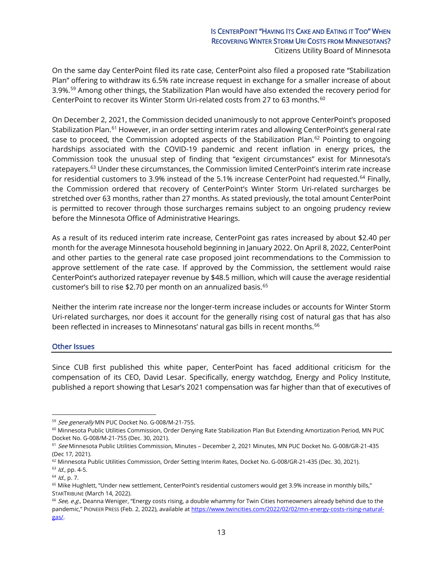## IS CENTERPOINT "HAVING ITS CAKE AND EATING IT TOO" WHEN RECOVERING WINTER STORM URI COSTS FROM MINNESOTANS? Citizens Utility Board of Minnesota

On the same day CenterPoint filed its rate case, CenterPoint also filed a proposed rate "Stabilization Plan" offering to withdraw its 6.5% rate increase request in exchange for a smaller increase of about 3.9%.[59](#page-12-0) Among other things, the Stabilization Plan would have also extended the recovery period for CenterPoint to recover its Winter Storm Uri-related costs from 27 to 63 months.<sup>[60](#page-12-1)</sup>

On December 2, 2021, the Commission decided unanimously to not approve CenterPoint's proposed Stabilization Plan.<sup>[61](#page-12-2)</sup> However, in an order setting interim rates and allowing CenterPoint's general rate case to proceed, the Commission adopted aspects of the Stabilization Plan.<sup>[62](#page-12-3)</sup> Pointing to ongoing hardships associated with the COVID-19 pandemic and recent inflation in energy prices, the Commission took the unusual step of finding that "exigent circumstances" exist for Minnesota's ratepayers.<sup>[63](#page-12-4)</sup> Under these circumstances, the Commission limited CenterPoint's interim rate increase for residential customers to 3.9% instead of the 5.1% increase CenterPoint had requested.<sup>[64](#page-12-5)</sup> Finally, the Commission ordered that recovery of CenterPoint's Winter Storm Uri-related surcharges be stretched over 63 months, rather than 27 months. As stated previously, the total amount CenterPoint is permitted to recover through those surcharges remains subject to an ongoing prudency review before the Minnesota Office of Administrative Hearings.

As a result of its reduced interim rate increase, CenterPoint gas rates increased by about \$2.40 per month for the average Minnesota household beginning in January 2022. On April 8, 2022, CenterPoint and other parties to the general rate case proposed joint recommendations to the Commission to approve settlement of the rate case. If approved by the Commission, the settlement would raise CenterPoint's authorized ratepayer revenue by \$48.5 million, which will cause the average residential customer's bill to rise \$2.70 per month on an annualized basis.<sup>[65](#page-12-6)</sup>

Neither the interim rate increase nor the longer-term increase includes or accounts for Winter Storm Uri-related surcharges, nor does it account for the generally rising cost of natural gas that has also been reflected in increases to Minnesotans' natural gas bills in recent months. [66](#page-12-7)

#### Other Issues

Since CUB first published this white paper, CenterPoint has faced additional criticism for the compensation of its CEO, David Lesar. Specifically, energy watchdog, Energy and Policy Institute, published a report showing that Lesar's 2021 compensation was far higher than that of executives of

<span id="page-12-0"></span><sup>59</sup> See generally MN PUC Docket No. G-008/M-21-755.

<span id="page-12-1"></span><sup>&</sup>lt;sup>60</sup> Minnesota Public Utilities Commission, Order Denying Rate Stabilization Plan But Extending Amortization Period, MN PUC Docket No. G-008/M-21-755 (Dec. 30, 2021).

<span id="page-12-2"></span><sup>&</sup>lt;sup>61</sup> See Minnesota Public Utilities Commission, Minutes - December 2, 2021 Minutes, MN PUC Docket No. G-008/GR-21-435 (Dec 17, 2021).

<span id="page-12-3"></span><sup>62</sup> Minnesota Public Utilities Commission, Order Setting Interim Rates, Docket No. G-008/GR-21-435 (Dec. 30, 2021).

<span id="page-12-4"></span> $63$  *Id.*, pp. 4-5.

<span id="page-12-5"></span> $64$  *Id.*, p. 7.

<span id="page-12-6"></span><sup>&</sup>lt;sup>65</sup> Mike Hughlett, "Under new settlement, CenterPoint's residential customers would get 3.9% increase in monthly bills," STARTRIBUNE (March 14, 2022).

<span id="page-12-7"></span><sup>&</sup>lt;sup>66</sup> See, e.g., Deanna Weniger, "Energy costs rising, a double whammy for Twin Cities homeowners already behind due to the pandemic," PIONEER PRESS (Feb. 2, 2022), available a[t https://www.twincities.com/2022/02/02/mn-energy-costs-rising-natural](https://www.twincities.com/2022/02/02/mn-energy-costs-rising-natural-gas/)[gas/.](https://www.twincities.com/2022/02/02/mn-energy-costs-rising-natural-gas/)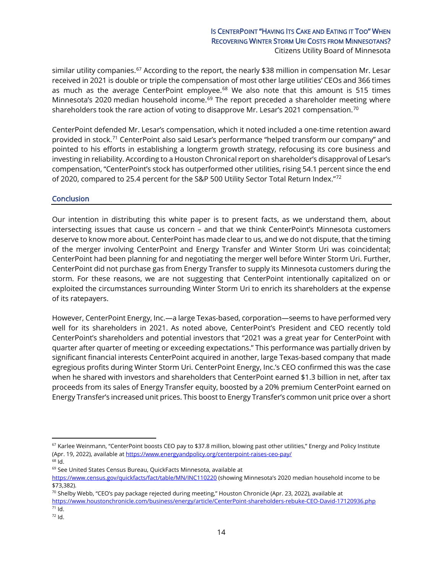## IS CENTERPOINT "HAVING ITS CAKE AND EATING IT TOO" WHEN RECOVERING WINTER STORM URI COSTS FROM MINNESOTANS? Citizens Utility Board of Minnesota

similar utility companies.<sup>67</sup> According to the report, the nearly \$38 million in compensation Mr. Lesar received in 2021 is double or triple the compensation of most other large utilities' CEOs and 366 times as much as the average CenterPoint employee. $68$  We also note that this amount is 515 times Minnesota's 2020 median household income.<sup>[69](#page-13-2)</sup> The report preceded a shareholder meeting where shareholders took the rare action of voting to disapprove Mr. Lesar's 2021 compensation. $^{70}$  $^{70}$  $^{70}$ 

CenterPoint defended Mr. Lesar's compensation, which it noted included a one-time retention award provided in stock[.71](#page-13-4) CenterPoint also said Lesar's performance "helped transform our company" and pointed to his efforts in establishing a longterm growth strategy, refocusing its core business and investing in reliability. According to a Houston Chronical report on shareholder's disapproval of Lesar's compensation, "CenterPoint's stock has outperformed other utilities, rising 54.1 percent since the end of 2020, compared to 25.4 percent for the S&P 500 Utility Sector Total Return Index."[72](#page-13-5)

#### **Conclusion**

Our intention in distributing this white paper is to present facts, as we understand them, about intersecting issues that cause us concern – and that we think CenterPoint's Minnesota customers deserve to know more about. CenterPoint has made clear to us, and we do not dispute, that the timing of the merger involving CenterPoint and Energy Transfer and Winter Storm Uri was coincidental; CenterPoint had been planning for and negotiating the merger well before Winter Storm Uri. Further, CenterPoint did not purchase gas from Energy Transfer to supply its Minnesota customers during the storm. For these reasons, we are not suggesting that CenterPoint intentionally capitalized on or exploited the circumstances surrounding Winter Storm Uri to enrich its shareholders at the expense of its ratepayers.

However, CenterPoint Energy, Inc.—a large Texas-based, corporation—seems to have performed very well for its shareholders in 2021. As noted above, CenterPoint's President and CEO recently told CenterPoint's shareholders and potential investors that "2021 was a great year for CenterPoint with quarter after quarter of meeting or exceeding expectations." This performance was partially driven by significant financial interests CenterPoint acquired in another, large Texas-based company that made egregious profits during Winter Storm Uri. CenterPoint Energy, Inc.'s CEO confirmed this was the case when he shared with investors and shareholders that CenterPoint earned \$1.3 billion in net, after tax proceeds from its sales of Energy Transfer equity, boosted by a 20% premium CenterPoint earned on Energy Transfer's increased unit prices. This boost to Energy Transfer's common unit price over a short

<span id="page-13-0"></span> $67$  Karlee Weinmann, "CenterPoint boosts CEO pay to \$37.8 million, blowing past other utilities," Energy and Policy Institute (Apr. 19, 2022), available at<https://www.energyandpolicy.org/centerpoint-raises-ceo-pay/>

<span id="page-13-1"></span><sup>68</sup> Id.

<span id="page-13-2"></span><sup>69</sup> See United States Census Bureau, QuickFacts Minnesota, available at

<https://www.census.gov/quickfacts/fact/table/MN/INC110220> (showing Minnesota's 2020 median household income to be \$73,382).

<span id="page-13-3"></span> $70$  Shelby Webb, "CEO's pay package rejected during meeting," Houston Chronicle (Apr. 23, 2022), available at

<span id="page-13-4"></span><https://www.houstonchronicle.com/business/energy/article/CenterPoint-shareholders-rebuke-CEO-David-17120936.php>  $71$  Id.

<span id="page-13-5"></span><sup>72</sup> Id.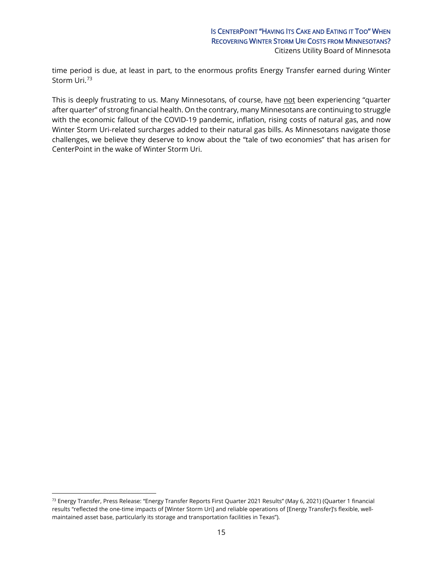time period is due, at least in part, to the enormous profits Energy Transfer earned during Winter Storm Uri.[73](#page-14-0)

This is deeply frustrating to us. Many Minnesotans, of course, have not been experiencing "quarter after quarter" of strong financial health. On the contrary, many Minnesotans are continuing to struggle with the economic fallout of the COVID-19 pandemic, inflation, rising costs of natural gas, and now Winter Storm Uri-related surcharges added to their natural gas bills. As Minnesotans navigate those challenges, we believe they deserve to know about the "tale of two economies" that has arisen for CenterPoint in the wake of Winter Storm Uri.

<span id="page-14-0"></span><sup>73</sup> Energy Transfer, Press Release: "Energy Transfer Reports First Quarter 2021 Results" (May 6, 2021) (Quarter 1 financial results "reflected the one-time impacts of [Winter Storm Uri] and reliable operations of [Energy Transfer]'s flexible, wellmaintained asset base, particularly its storage and transportation facilities in Texas").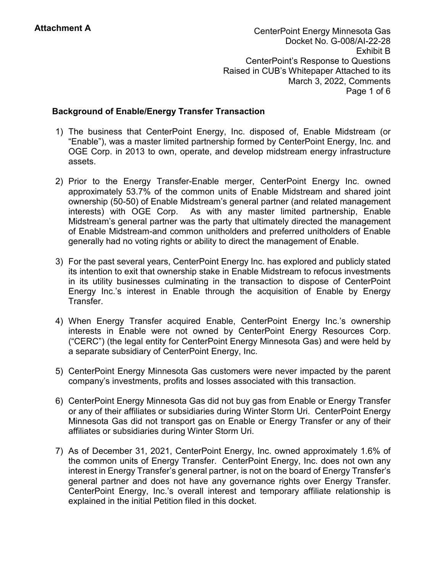CenterPoint Energy Minnesota Gas Docket No. G-008/AI-22-28 Exhibit B CenterPoint's Response to Questions Raised in CUB's Whitepaper Attached to its March 3, 2022, Comments Page 1 of 6

# **Background of Enable/Energy Transfer Transaction**

- 1) The business that CenterPoint Energy, Inc. disposed of, Enable Midstream (or "Enable"), was a master limited partnership formed by CenterPoint Energy, Inc. and OGE Corp. in 2013 to own, operate, and develop midstream energy infrastructure assets.
- 2) Prior to the Energy Transfer-Enable merger, CenterPoint Energy Inc. owned approximately 53.7% of the common units of Enable Midstream and shared joint ownership (50-50) of Enable Midstream's general partner (and related management interests) with OGE Corp. As with any master limited partnership, Enable Midstream's general partner was the party that ultimately directed the management of Enable Midstream-and common unitholders and preferred unitholders of Enable generally had no voting rights or ability to direct the management of Enable.
- 3) For the past several years, CenterPoint Energy Inc. has explored and publicly stated its intention to exit that ownership stake in Enable Midstream to refocus investments in its utility businesses culminating in the transaction to dispose of CenterPoint Energy Inc.'s interest in Enable through the acquisition of Enable by Energy Transfer.
- 4) When Energy Transfer acquired Enable, CenterPoint Energy Inc.'s ownership interests in Enable were not owned by CenterPoint Energy Resources Corp. ("CERC") (the legal entity for CenterPoint Energy Minnesota Gas) and were held by a separate subsidiary of CenterPoint Energy, Inc.
- 5) CenterPoint Energy Minnesota Gas customers were never impacted by the parent company's investments, profits and losses associated with this transaction.
- 6) CenterPoint Energy Minnesota Gas did not buy gas from Enable or Energy Transfer or any of their affiliates or subsidiaries during Winter Storm Uri. CenterPoint Energy Minnesota Gas did not transport gas on Enable or Energy Transfer or any of their affiliates or subsidiaries during Winter Storm Uri.
- 7) As of December 31, 2021, CenterPoint Energy, Inc. owned approximately 1.6% of the common units of Energy Transfer. CenterPoint Energy, Inc. does not own any interest in Energy Transfer's general partner, is not on the board of Energy Transfer's general partner and does not have any governance rights over Energy Transfer. CenterPoint Energy, Inc.'s overall interest and temporary affiliate relationship is explained in the initial Petition filed in this docket.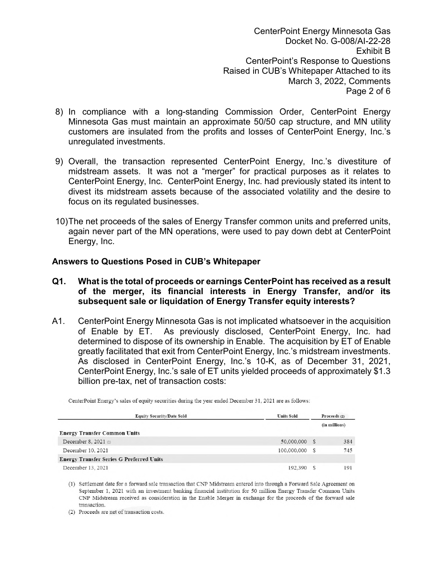CenterPoint Energy Minnesota Gas Docket No. G-008/AI-22-28 Exhibit B CenterPoint's Response to Questions Raised in CUB's Whitepaper Attached to its March 3, 2022, Comments Page 2 of 6

- 8) In compliance with a long-standing Commission Order, CenterPoint Energy Minnesota Gas must maintain an approximate 50/50 cap structure, and MN utility customers are insulated from the profits and losses of CenterPoint Energy, Inc.'s unregulated investments.
- 9) Overall, the transaction represented CenterPoint Energy, Inc.'s divestiture of midstream assets. It was not a "merger" for practical purposes as it relates to CenterPoint Energy, Inc. CenterPoint Energy, Inc. had previously stated its intent to divest its midstream assets because of the associated volatility and the desire to focus on its regulated businesses.
- 10) The net proceeds of the sales of Energy Transfer common units and preferred units, again never part of the MN operations, were used to pay down debt at CenterPoint Energy, Inc.

# **Answers to Questions Posed in CUB's Whitepaper**

- **Q1. What is the total of proceeds or earnings CenterPoint has received as a result of the merger, its financial interests in Energy Transfer, and/or its subsequent sale or liquidation of Energy Transfer equity interests?**
- A1. CenterPoint Energy Minnesota Gas is not implicated whatsoever in the acquisition of Enable by ET. As previously disclosed, CenterPoint Energy, Inc. had determined to dispose of its ownership in Enable. The acquisition by ET of Enable greatly facilitated that exit from CenterPoint Energy, Inc.'s midstream investments. As disclosed in CenterPoint Energy, Inc.'s 10-K, as of December 31, 2021, CenterPoint Energy, Inc.'s sale of ET units yielded proceeds of approximately \$1.3 billion pre-tax, net of transaction costs:

| <b>Equity Security/Date Sold</b>                | <b>Units Sold</b> |   | Proceeds (2)  |  |
|-------------------------------------------------|-------------------|---|---------------|--|
|                                                 |                   |   | (in millions) |  |
| <b>Energy Transfer Common Units</b>             |                   |   |               |  |
| December 8, 2021 $\alpha$                       | 50,000,000        | S | 384           |  |
| December 10, 2021                               | 100,000,000       | S | 745           |  |
| <b>Energy Transfer Series G Preferred Units</b> |                   |   |               |  |
| December 13, 2021                               | 192,390           |   | 191           |  |

CenterPoint Energy's sales of equity securities during the year ended December 31, 2021 are as follows:

(1) Settlement date for a forward sale transaction that CNP Midstream entered into through a Forward Sale Agreement on September 1, 2021 with an investment banking financial institution for 50 million Energy Transfer Common Units CNP Midstream received as consideration in the Enable Merger in exchange for the proceeds of the forward sale transaction.

(2) Proceeds are net of transaction costs.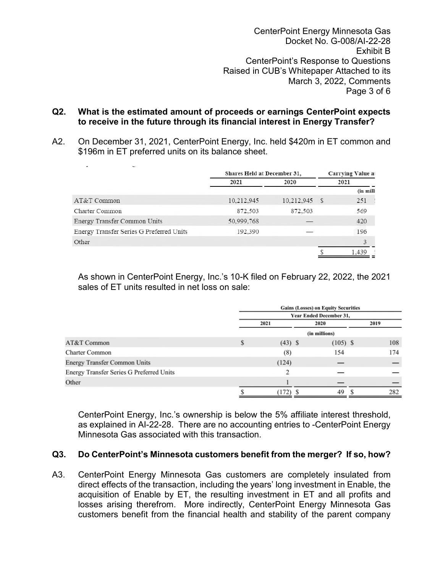CenterPoint Energy Minnesota Gas Docket No. G-008/AI-22-28 Exhibit B CenterPoint's Response to Questions Raised in CUB's Whitepaper Attached to its March 3, 2022, Comments Page 3 of 6

## **Q2. What is the estimated amount of proceeds or earnings CenterPoint expects to receive in the future through its financial interest in Energy Transfer?**

A2. On December 31, 2021, CenterPoint Energy, Inc. held \$420m in ET common and \$196m in ET preferred units on its balance sheet.

| Shares Held at December 31. |            |      |                          |  |
|-----------------------------|------------|------|--------------------------|--|
|                             |            |      | <b>Carrying Value at</b> |  |
| 2021<br>2020                |            | 2021 |                          |  |
|                             |            |      | (in milli                |  |
| 10.212.945                  | 10.212,945 |      | 251                      |  |
| 872,503                     | 872,503    |      | 569                      |  |
| 50,999,768                  |            |      | 420                      |  |
| 192,390                     |            |      | 196                      |  |
|                             |            |      | 3                        |  |
|                             |            |      | 1.439                    |  |
|                             |            |      | s                        |  |

As shown in CenterPoint Energy, Inc.'s 10-K filed on February 22, 2022, the 2021 sales of ET units resulted in net loss on sale:

|                                          | <b>Gains (Losses) on Equity Securities</b> |                                |      |            |      |     |
|------------------------------------------|--------------------------------------------|--------------------------------|------|------------|------|-----|
|                                          |                                            | <b>Year Ended December 31,</b> |      |            |      |     |
|                                          | 2021                                       |                                | 2020 |            | 2019 |     |
|                                          |                                            |                                |      |            |      |     |
| AT&T Common                              | S                                          | $(43)$ \$                      |      | $(105)$ \$ |      | 108 |
| <b>Charter Common</b>                    |                                            | (8)                            |      | 154        |      | 174 |
| <b>Energy Transfer Common Units</b>      |                                            | (124)                          |      |            |      |     |
| Energy Transfer Series G Preferred Units |                                            | 2                              |      |            |      |     |
| Other                                    |                                            |                                |      |            |      |     |
|                                          |                                            | (172)                          |      | 49         |      | 282 |

CenterPoint Energy, Inc.'s ownership is below the 5% affiliate interest threshold, as explained in AI-22-28. There are no accounting entries to -CenterPoint Energy Minnesota Gas associated with this transaction.

# **Q3. Do CenterPoint's Minnesota customers benefit from the merger? If so, how?**

A3. CenterPoint Energy Minnesota Gas customers are completely insulated from direct effects of the transaction, including the years' long investment in Enable, the acquisition of Enable by ET, the resulting investment in ET and all profits and losses arising therefrom. More indirectly, CenterPoint Energy Minnesota Gas customers benefit from the financial health and stability of the parent company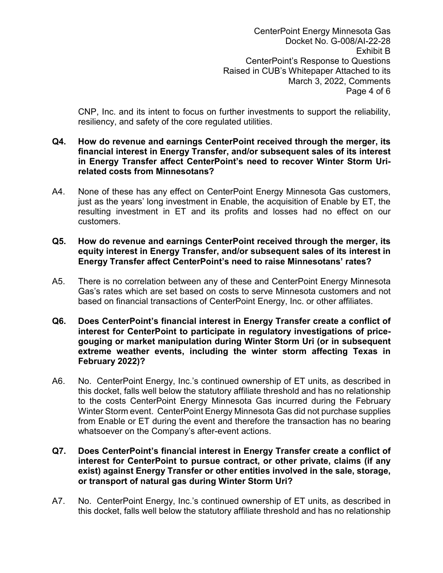CenterPoint Energy Minnesota Gas Docket No. G-008/AI-22-28 Exhibit B CenterPoint's Response to Questions Raised in CUB's Whitepaper Attached to its March 3, 2022, Comments Page 4 of 6

CNP, Inc. and its intent to focus on further investments to support the reliability, resiliency, and safety of the core regulated utilities.

- **Q4. How do revenue and earnings CenterPoint received through the merger, its financial interest in Energy Transfer, and/or subsequent sales of its interest in Energy Transfer affect CenterPoint's need to recover Winter Storm Urirelated costs from Minnesotans?**
- A4. None of these has any effect on CenterPoint Energy Minnesota Gas customers, just as the years' long investment in Enable, the acquisition of Enable by ET, the resulting investment in ET and its profits and losses had no effect on our customers.

# **Q5. How do revenue and earnings CenterPoint received through the merger, its equity interest in Energy Transfer, and/or subsequent sales of its interest in Energy Transfer affect CenterPoint's need to raise Minnesotans' rates?**

- A5. There is no correlation between any of these and CenterPoint Energy Minnesota Gas's rates which are set based on costs to serve Minnesota customers and not based on financial transactions of CenterPoint Energy, Inc. or other affiliates.
- **Q6. Does CenterPoint's financial interest in Energy Transfer create a conflict of interest for CenterPoint to participate in regulatory investigations of pricegouging or market manipulation during Winter Storm Uri (or in subsequent extreme weather events, including the winter storm affecting Texas in February 2022)?**
- A6. No. CenterPoint Energy, Inc.'s continued ownership of ET units, as described in this docket, falls well below the statutory affiliate threshold and has no relationship to the costs CenterPoint Energy Minnesota Gas incurred during the February Winter Storm event. CenterPoint Energy Minnesota Gas did not purchase supplies from Enable or ET during the event and therefore the transaction has no bearing whatsoever on the Company's after-event actions.

## **Q7. Does CenterPoint's financial interest in Energy Transfer create a conflict of interest for CenterPoint to pursue contract, or other private, claims (if any exist) against Energy Transfer or other entities involved in the sale, storage, or transport of natural gas during Winter Storm Uri?**

A7. No. CenterPoint Energy, Inc.'s continued ownership of ET units, as described in this docket, falls well below the statutory affiliate threshold and has no relationship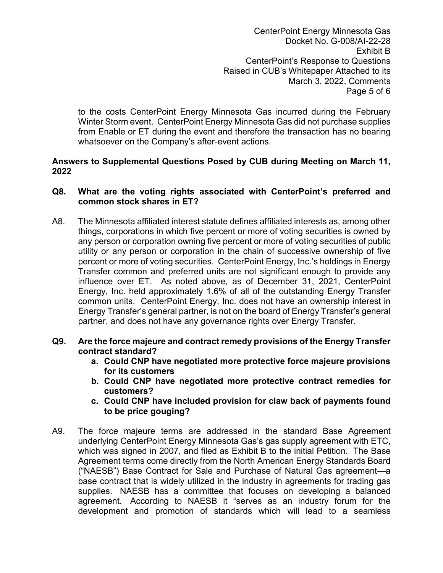CenterPoint Energy Minnesota Gas Docket No. G-008/AI-22-28 Exhibit B CenterPoint's Response to Questions Raised in CUB's Whitepaper Attached to its March 3, 2022, Comments Page 5 of 6

to the costs CenterPoint Energy Minnesota Gas incurred during the February Winter Storm event. CenterPoint Energy Minnesota Gas did not purchase supplies from Enable or ET during the event and therefore the transaction has no bearing whatsoever on the Company's after-event actions.

# **Answers to Supplemental Questions Posed by CUB during Meeting on March 11, 2022**

# **Q8. What are the voting rights associated with CenterPoint's preferred and common stock shares in ET?**

A8. The Minnesota affiliated interest statute defines affiliated interests as, among other things, corporations in which five percent or more of voting securities is owned by any person or corporation owning five percent or more of voting securities of public utility or any person or corporation in the chain of successive ownership of five percent or more of voting securities. CenterPoint Energy, Inc.'s holdings in Energy Transfer common and preferred units are not significant enough to provide any influence over ET. As noted above, as of December 31, 2021, CenterPoint Energy, Inc. held approximately 1.6% of all of the outstanding Energy Transfer common units. CenterPoint Energy, Inc. does not have an ownership interest in Energy Transfer's general partner, is not on the board of Energy Transfer's general partner, and does not have any governance rights over Energy Transfer.

# **Q9. Are the force majeure and contract remedy provisions of the Energy Transfer contract standard?**

- **a. Could CNP have negotiated more protective force majeure provisions for its customers**
- **b. Could CNP have negotiated more protective contract remedies for customers?**
- **c. Could CNP have included provision for claw back of payments found to be price gouging?**
- A9. The force majeure terms are addressed in the standard Base Agreement underlying CenterPoint Energy Minnesota Gas's gas supply agreement with ETC, which was signed in 2007, and filed as Exhibit B to the initial Petition. The Base Agreement terms come directly from the North American Energy Standards Board ("NAESB") Base Contract for Sale and Purchase of Natural Gas agreement—a base contract that is widely utilized in the industry in agreements for trading gas supplies. NAESB has a committee that focuses on developing a balanced agreement. According to NAESB it "serves as an industry forum for the development and promotion of standards which will lead to a seamless